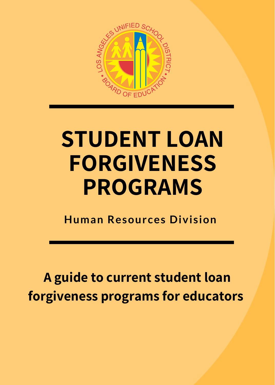

## **STUDENT LOAN FORGIVENESS PROGRAMS**

**Human Resources Division**

**A guide to current student loan forgiveness programs for educators**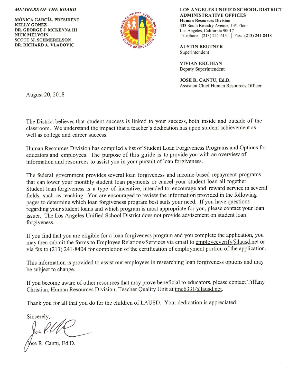## **MEMBERS OF THE BOARD**

**MÓNICA GARCÍA, PRESIDENT KELLY GONEZ** DR. GEORGE J. MCKENNA III **NICK MELVOIN SCOTT M. SCHMERELSON** DR. RICHARD A. VLADOVIC



LOS ANGELES UNIFIED SCHOOL DISTRICT **ADMINISTRATIVE OFFICES Human Resources Division** 333 South Beaudry Avenue, 14th Floor Los Angeles, California 90017 Telephone: (213) 241-6131 | Fax: (213) 241-8418

**AUSTIN BEUTNER** Superintendent

**VIVIAN EKCHIAN** Deputy Superintendent

JOSE R. CANTU, Ed.D. Assistant Chief Human Resources Officer

August 20, 2018

The District believes that student success is linked to your success, both inside and outside of the classroom. We understand the impact that a teacher's dedication has upon student achievement as well as college and career success.

Human Resources Division has compiled a list of Student Loan Forgiveness Programs and Options for educators and employees. The purpose of this guide is to provide you with an overview of information and resources to assist you in your pursuit of loan forgiveness.

The federal government provides several loan forgiveness and income-based repayment programs that can lower your monthly student loan payments or cancel your student loan all together. Student loan forgiveness is a type of incentive, intended to encourage and reward service in several fields, such as teaching. You are encouraged to review the information provided in the following pages to determine which loan forgiveness program best suits your need. If you have questions regarding your student loans and which program is most appropriate for you, please contact your loan issuer. The Los Angeles Unified School District does not provide advisement on student loan forgiveness.

If you find that you are eligible for a loan forgiveness program and you complete the application, you may then submit the forms to Employee Relations/Services via email to employeeverify@lausd.net or via fax to (213) 241-8404 for completion of the certification of employment portion of the application.

This information is provided to assist our employees in researching loan forgiveness options and may be subject to change.

If you become aware of other resources that may prove beneficial to educators, please contact Tiffany Christian, Human Resources Division, Teacher Quality Unit at tmc6331@lausd.net.

Thank you for all that you do for the children of LAUSD. Your dedication is appreciated.

Sincerely.

se R. Cantu, Ed.D.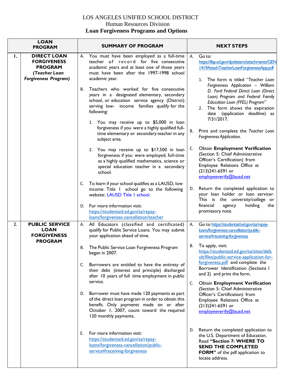## LOS ANGELES UNIFIED SCHOOL DISTRICT Human Resources Division  **Loan Forgiveness Programs and Options**

| <b>LOAN</b><br><b>PROGRAM</b> |                                                                                                            | <b>SUMMARY OF PROGRAM</b>                                                                                                                                                                                                                                 | <b>NEXT STEPS</b>                                                                                                                                                                                                                     |
|-------------------------------|------------------------------------------------------------------------------------------------------------|-----------------------------------------------------------------------------------------------------------------------------------------------------------------------------------------------------------------------------------------------------------|---------------------------------------------------------------------------------------------------------------------------------------------------------------------------------------------------------------------------------------|
| Ι.                            | <b>DIRECT LOAN</b><br><b>FORGIVENESS</b><br><b>PROGRAM</b><br>(Teacher Loan<br><b>Forgiveness Program)</b> | You must have been employed as a full-time<br>А.<br>teacher of record for five consecutive<br>academic years and at least one of those years<br>must have been after the 1997-1998 school<br>academic year.                                               | Go to:<br>А.<br>https://ifap.ed.gov/dpcletters/attachments/GEN<br>1419AttachTeacherLoanForgivenessApp.pdf<br>The form is titled "Teacher Loan<br>$1_{\ldots}$                                                                         |
|                               |                                                                                                            | Teachers who worked for five consecutive<br>В.<br>years in a designated elementary, secondary<br>school, or education service agency (District)<br>serving low- income families qualify for the<br>following:<br>1. You may receive up to \$5,000 in loan | Forgiveness Application - William<br>D. Ford Federal Direct Loan (Direct<br>Loan) Program and Federal Family<br>Education Loan (FFEL) Program"<br>The form shows the expiration<br>2.<br>date (application deadline) as<br>7/31/2017. |
|                               |                                                                                                            | forgiveness if you were a highly qualified full-<br>time elementary or secondary teacher in any<br>subject area.                                                                                                                                          | Print and complete the Teacher Loan<br>В.<br>Forgiveness Application.                                                                                                                                                                 |
|                               |                                                                                                            | 2. You may receive up to \$17,500 in loan<br>forgiveness if you were employed, full-time<br>as a highly qualified mathematics, science or<br>special education teacher in a secondary<br>school.                                                          | <b>Obtain Employment Verification</b><br>C.<br>(Section 5: Chief Administrative<br>Officer's Certification) from<br>Employee Relations Office at<br>(213)241-6591 or<br>employeeverify@lausd.net                                      |
|                               |                                                                                                            | C. To learn if your school qualifies as a LAUSD, low<br>income Title I school go to the following<br>website: LAUSD Title I school.                                                                                                                       | Return the completed application to<br>D.<br>your loan holder or loan servicer.<br>This is the university/college or                                                                                                                  |
|                               |                                                                                                            | For more information visit:<br>D.<br>https://studentaid.ed.gov/sa/repay-<br>loans/forgiveness-cancellation/teacher                                                                                                                                        | holding<br>financial<br>agency<br>the<br>promissory note.                                                                                                                                                                             |
| 2.                            | <b>PUBLIC SERVICE</b><br><b>LOAN</b><br><b>FORGIVENESS</b><br><b>PROGRAM</b>                               | All Educators (classified and certificated)<br>А.<br>qualify for Public Service Loans. You may submit<br>your application ahead of time.                                                                                                                  | Go to https://studentaid.ed.gov/sa/repay-<br>Α.<br>loans/forgiveness-cancellation/public-<br>service#receiving-forgiveness                                                                                                            |
|                               |                                                                                                            | The Public Service Loan Forgiveness Program<br>В.<br>began in 2007.                                                                                                                                                                                       | To apply, visit:<br>В.<br>https://studentaid.ed.gov/sa/sites/defa<br>ult/files/public-service-application-for-                                                                                                                        |
|                               |                                                                                                            | C. Borrowers are entitled to have the entirety of<br>their debt (interest and principle) discharged<br>after 10 years of full time employment in public<br>service.                                                                                       | forgiveness.pdf and complete the<br>Borrower Identification (Sections I<br>and 2) and print the form.<br><b>Obtain Employment Verification</b><br>C.                                                                                  |
|                               |                                                                                                            | D. Borrower must have made 120 payments as part<br>of the direct loan program in order to obtain this<br>benefit. Only payments made on or after<br>October 1, 2007, count toward the required<br>120 monthly payments.                                   | (Section 5: Chief Administrative<br>Officer's Certification) from<br>Employee Relations Office at<br>(213)241-6591 or<br>employeeverify@lausd.net                                                                                     |
|                               |                                                                                                            | For more information visit:<br>Е.<br>https://studentaid.ed.gov/sa/repay-<br>loans/forgiveness-cancellation/public-<br>service#receiving-forgiveness                                                                                                       | D. Return the completed application to<br>the U.S. Department of Education.<br>Read "Section 7: WHERE TO<br><b>SEND THE COMPLETED</b><br>FORM" of the pdf application to<br>locate address.                                           |